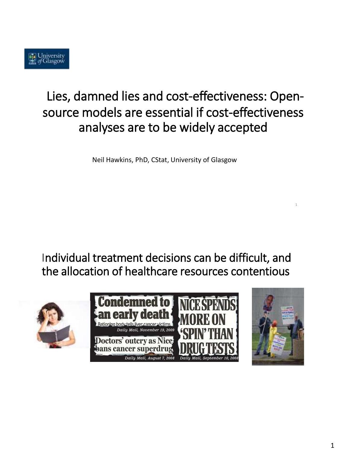

# Lies, damned lies and cost-effectiveness: Opensource models are essential if cost-effectiveness analyses are to be widely accepted

Neil Hawkins, PhD, CStat, University of Glasgow

Individual treatment decisions can be difficult, and the allocation of healthcare resources contentious







1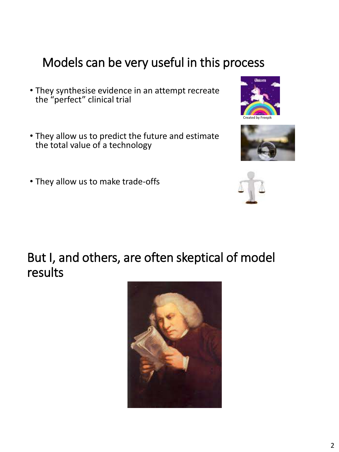## Models can be very useful in this process

- They synthesise evidence in an attempt recreate the "perfect" clinical trial
- They allow us to predict the future and estimate the total value of a technology
- They allow us to make trade-offs

## But I, and others, are often skeptical of model results







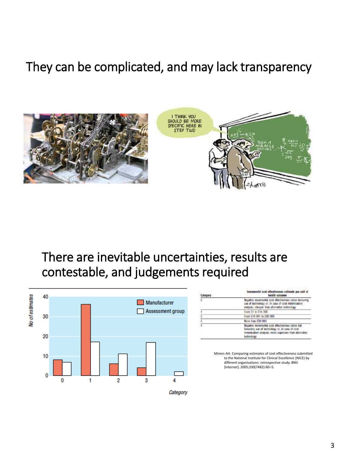## They can be complicated, and may lack transparency



## There are inevitable uncertainties, results are contestable, and judgements required



|   | la fina vag stamites services in tres between it<br>health autome                                                                                                        |
|---|--------------------------------------------------------------------------------------------------------------------------------------------------------------------------|
| ū | Negative moremental cost effectiveness ratios favouring<br>use of technology or, in case of cost minimisation<br>analysis, sheaper from allernative technology           |
|   | From £1 to £1x 000                                                                                                                                                       |
|   | From £15 001 to £30 000                                                                                                                                                  |
|   | Most than £50,000                                                                                                                                                        |
|   | Nooative meramental post effectiveness ratios not<br>favouring use of technology or, in case of cost<br>renewsation analysis, more oxpenses than allumativ<br>tachnology |

Miners AH. Comparing estimates of cost effectiveness submitted to the National Institute for Clinical Excellence (NICE) by different organisations: retrospective study. BMJ [Internet]. 2005;330(7482):60–5.

Category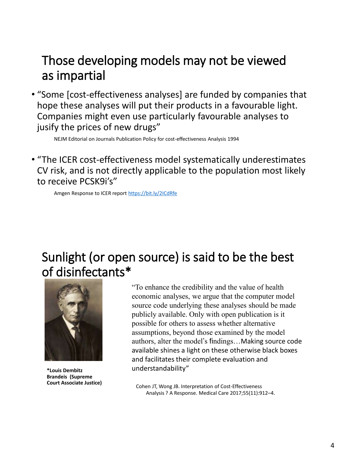#### Those developing models may not be viewed as impartial

• "Some [cost-effectiveness analyses] are funded by companies that hope these analyses will put their products in a favourable light. Companies might even use particularly favourable analyses to jusify the prices of new drugs"

NEJM Editorial on Journals Publication Policy for cost-effectiveness Analysis 1994

• "The ICER cost-effectiveness model systematically underestimates CV risk, and is not directly applicable to the population most likely to receive PCSK9i's"

Amgen Response to ICER report<https://bit.ly/2ICdRfe>

#### Sunlight (or open source) is said to be the best of disinfectants\*



**\*Louis Dembitz Brandeis (Supreme Court Associate Justice)**

"To enhance the credibility and the value of health economic analyses, we argue that the computer model source code underlying these analyses should be made publicly available. Only with open publication is it possible for others to assess whether alternative assumptions, beyond those examined by the model authors, alter the model's findings…Making source code available shines a light on these otherwise black boxes and facilitates their complete evaluation and understandability"

Cohen JT, Wong JB. Interpretation of Cost-Effectiveness Analysis ? A Response. Medical Care 2017;55(11):912–4.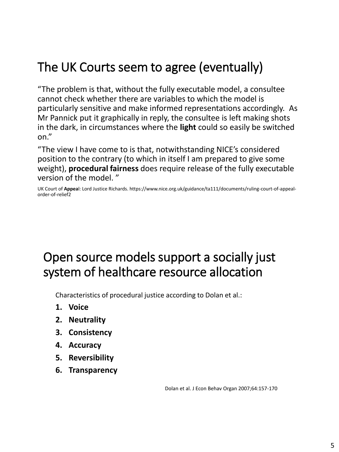# The UK Courts seem to agree (eventually)

"The problem is that, without the fully executable model, a consultee cannot check whether there are variables to which the model is particularly sensitive and make informed representations accordingly. As Mr Pannick put it graphically in reply, the consultee is left making shots in the dark, in circumstances where the **light** could so easily be switched on."

"The view I have come to is that, notwithstanding NICE's considered position to the contrary (to which in itself I am prepared to give some weight), **procedural fairness** does require release of the fully executable version of the model. "

UK Court of **Appea**l: Lord Justice Richards. https://www.nice.org.uk/guidance/ta111/documents/ruling-court-of-appealorder-of-relief2

## Open source models support a socially just system of healthcare resource allocation

Characteristics of procedural justice according to Dolan et al.:

- **1. Voice**
- **2. Neutrality**
- **3. Consistency**
- **4. Accuracy**
- **5. Reversibility**
- **6. Transparency**

Dolan et al. J Econ Behav Organ 2007;64:157-170